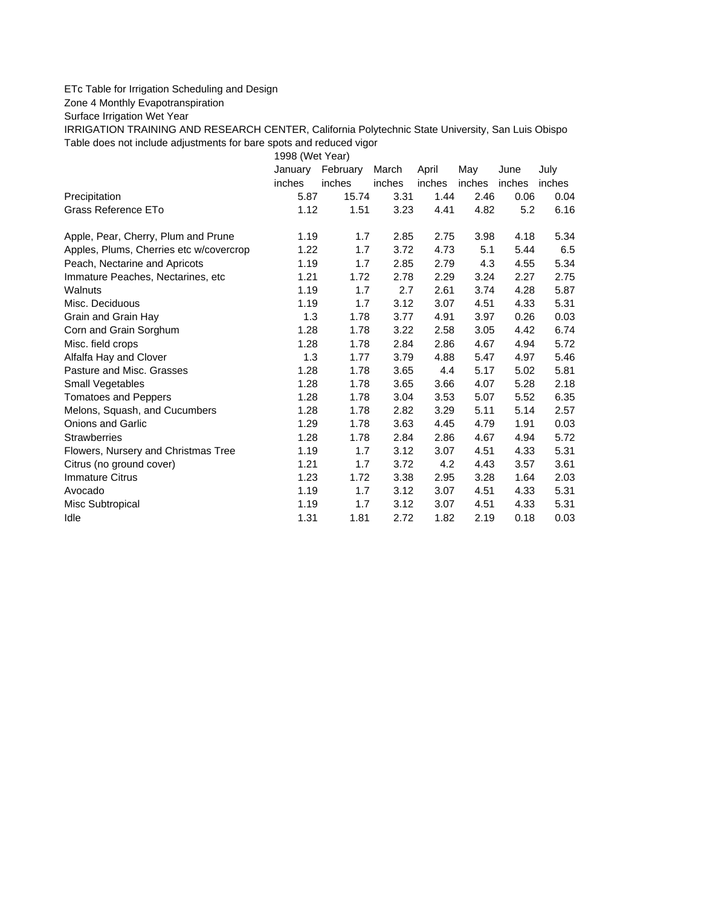## ETc Table for Irrigation Scheduling and Design

Zone 4 Monthly Evapotranspiration

Surface Irrigation Wet Year

IRRIGATION TRAINING AND RESEARCH CENTER, California Polytechnic State University, San Luis Obispo Table does not include adjustments for bare spots and reduced vigor

1998 (Wet Year)

|                                         | January | February | March  | April  | May    | June   | July   |
|-----------------------------------------|---------|----------|--------|--------|--------|--------|--------|
|                                         | inches  | inches   | inches | inches | inches | inches | inches |
| Precipitation                           | 5.87    | 15.74    | 3.31   | 1.44   | 2.46   | 0.06   | 0.04   |
| Grass Reference ETo                     | 1.12    | 1.51     | 3.23   | 4.41   | 4.82   | 5.2    | 6.16   |
| Apple, Pear, Cherry, Plum and Prune     | 1.19    | 1.7      | 2.85   | 2.75   | 3.98   | 4.18   | 5.34   |
| Apples, Plums, Cherries etc w/covercrop | 1.22    | 1.7      | 3.72   | 4.73   | 5.1    | 5.44   | 6.5    |
| Peach, Nectarine and Apricots           | 1.19    | 1.7      | 2.85   | 2.79   | 4.3    | 4.55   | 5.34   |
| Immature Peaches, Nectarines, etc       | 1.21    | 1.72     | 2.78   | 2.29   | 3.24   | 2.27   | 2.75   |
| Walnuts                                 | 1.19    | 1.7      | 2.7    | 2.61   | 3.74   | 4.28   | 5.87   |
| Misc. Deciduous                         | 1.19    | 1.7      | 3.12   | 3.07   | 4.51   | 4.33   | 5.31   |
| Grain and Grain Hay                     | 1.3     | 1.78     | 3.77   | 4.91   | 3.97   | 0.26   | 0.03   |
| Corn and Grain Sorghum                  | 1.28    | 1.78     | 3.22   | 2.58   | 3.05   | 4.42   | 6.74   |
| Misc. field crops                       | 1.28    | 1.78     | 2.84   | 2.86   | 4.67   | 4.94   | 5.72   |
| Alfalfa Hay and Clover                  | 1.3     | 1.77     | 3.79   | 4.88   | 5.47   | 4.97   | 5.46   |
| Pasture and Misc. Grasses               | 1.28    | 1.78     | 3.65   | 4.4    | 5.17   | 5.02   | 5.81   |
| Small Vegetables                        | 1.28    | 1.78     | 3.65   | 3.66   | 4.07   | 5.28   | 2.18   |
| <b>Tomatoes and Peppers</b>             | 1.28    | 1.78     | 3.04   | 3.53   | 5.07   | 5.52   | 6.35   |
| Melons, Squash, and Cucumbers           | 1.28    | 1.78     | 2.82   | 3.29   | 5.11   | 5.14   | 2.57   |
| <b>Onions and Garlic</b>                | 1.29    | 1.78     | 3.63   | 4.45   | 4.79   | 1.91   | 0.03   |
| <b>Strawberries</b>                     | 1.28    | 1.78     | 2.84   | 2.86   | 4.67   | 4.94   | 5.72   |
| Flowers, Nursery and Christmas Tree     | 1.19    | 1.7      | 3.12   | 3.07   | 4.51   | 4.33   | 5.31   |
| Citrus (no ground cover)                | 1.21    | 1.7      | 3.72   | 4.2    | 4.43   | 3.57   | 3.61   |
| <b>Immature Citrus</b>                  | 1.23    | 1.72     | 3.38   | 2.95   | 3.28   | 1.64   | 2.03   |
| Avocado                                 | 1.19    | 1.7      | 3.12   | 3.07   | 4.51   | 4.33   | 5.31   |
| Misc Subtropical                        | 1.19    | 1.7      | 3.12   | 3.07   | 4.51   | 4.33   | 5.31   |
| Idle                                    | 1.31    | 1.81     | 2.72   | 1.82   | 2.19   | 0.18   | 0.03   |